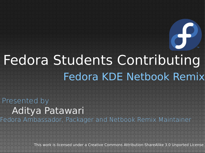#### Fedora KDE Netbook Remix Fedora Students Contributing

Aditya Patawari Presented by Fedora Ambassador, Packager and Netbook Remix Maintainer

This work is licensed under a Creative Commons Attribution-ShareAlike 3.0 Unported License.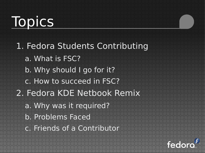### **Topics**

1. Fedora Students Contributing a. What is FSC? b. Why should I go for it? c. How to succeed in FSC? 2. Fedora KDE Netbook Remix a. Why was it required? b. Problems Faced c. Friends of a Contributor

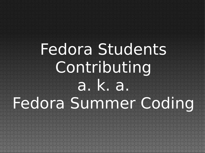# Fedora Students Contributing a. k. a. Fedora Summer Coding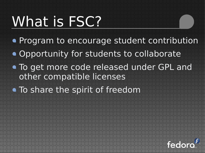## What is FSC?

- **Program to encourage student contribution**
- **.** Opportunity for students to collaborate
- $\bullet$  To get more code released under GPL and other compatible licenses
- To share the spirit of freedom

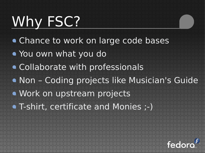# Why FSC?

- Chance to work on large code bases
- You own what you do
- Collaborate with professionals
- Non Coding projects like Musician's Guide
- Work on upstream projects
- T-shirt, certificate and Monies ;-)

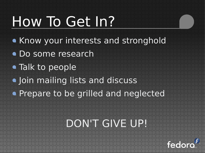# How To Get In?

- . Know your interests and stronghold
- Do some research
- Talk to people
- **.** Join mailing lists and discuss
- **Prepare to be grilled and neglected**

#### DON'T GIVE UP!

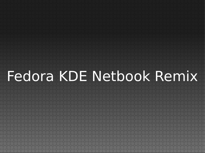# Fedora KDE Netbook Remix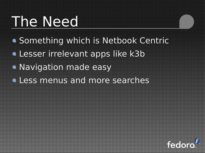#### The Need

- Something which is Netbook Centric
- Lesser irrelevant apps like k3b
- **.** Navigation made easy
- **.** Less menus and more searches

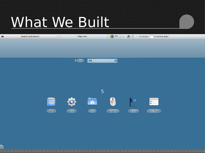### What We Built

| $\bullet$ | Search and launch | $\boxdot$<br>Page one |                         | 300 % 4 6 1 | $\heartsuit$ 12:24 pm | 4 running apps |
|-----------|-------------------|-----------------------|-------------------------|-------------|-----------------------|----------------|
|           |                   |                       |                         |             |                       |                |
|           |                   |                       |                         |             |                       |                |
|           |                   |                       |                         |             |                       |                |
|           |                   | $\leftarrow$ Back     | dol                     | $\bullet$   |                       |                |
|           |                   |                       |                         |             |                       |                |
|           |                   |                       |                         |             |                       |                |
|           |                   |                       |                         |             |                       |                |
|           |                   |                       |                         |             |                       |                |
|           |                   |                       | 5                       |             |                       |                |
|           |                   |                       |                         |             |                       |                |
|           | $\mathbb{R}^2$    | Q                     | $\overline{\mathbf{a}}$ | 4           | 医                     | $\blacksquare$ |
|           |                   |                       |                         |             |                       |                |
|           | Dolphin           | General               | Home                    | Navigation  | Services              | View Modes     |
|           |                   |                       |                         |             |                       |                |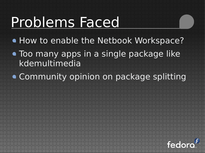# Problems Faced

- How to enable the Netbook Workspace?
- Too many apps in a single package like kdemultimedia
- Community opinion on package splitting

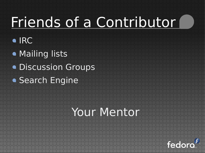# Friends of a Contributor

- IRC
- **Mailing lists**
- **Discussion Groups**
- Search Engine

#### Your Mentor